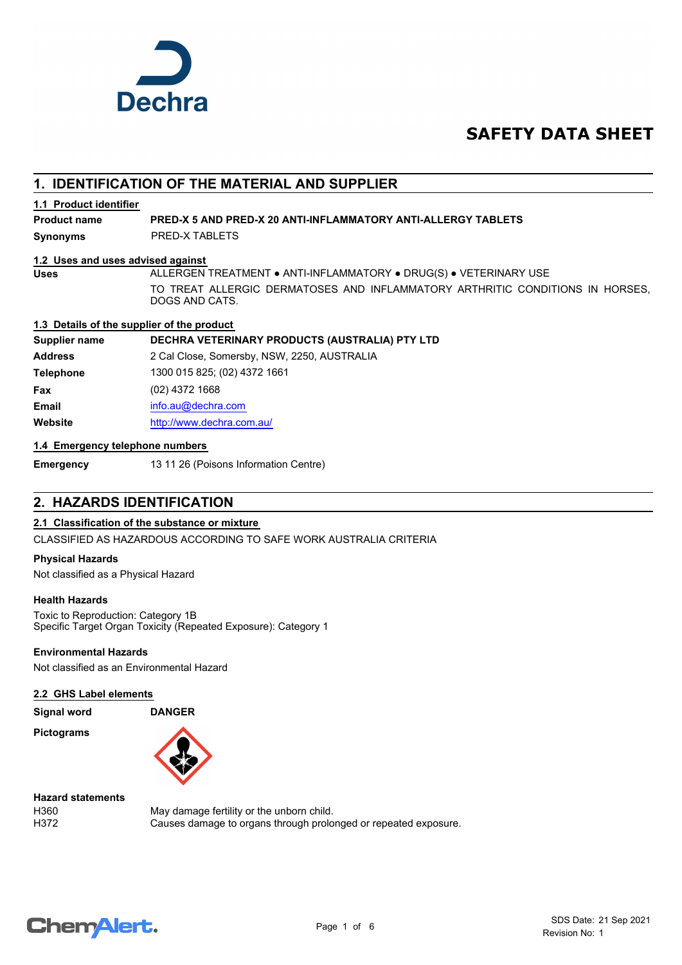

# **SAFETY DATA SHEET**

# **1. IDENTIFICATION OF THE MATERIAL AND SUPPLIER**

## **1.1 Product identifier**

**Product name PRED-X 5 AND PRED-X 20 ANTI-INFLAMMATORY ANTI-ALLERGY TABLETS**

**Synonyms** PRED-X TABLETS

## **1.2 Uses and uses advised against**

**Uses** ALLERGEN TREATMENT ● ANTI-INFLAMMATORY ● DRUG(S) ● VETERINARY USE TO TREAT ALLERGIC DERMATOSES AND INFLAMMATORY ARTHRITIC CONDITIONS IN HORSES, DOGS AND CATS.

## **1.3 Details of the supplier of the product**

**Supplier name DECHRA VETERINARY PRODUCTS (AUSTRALIA) PTY LTD**

**Address** 2 Cal Close, Somersby, NSW, 2250, AUSTRALIA **Telephone** 1300 015 825; (02) 4372 1661 **Fax** (02) 4372 1668 **Email** [info.au@](mailto:info.au@dechra.com)dechra.com **Website** [http://www.](http://www.dechra.com.au/)dechra.com.au/

## **1.4 Emergency telephone numbers**

**Emergency** 13 11 26 (Poisons Information Centre)

# **2. HAZARDS IDENTIFICATION**

## **2.1 Classification of the substance or mixture**

CLASSIFIED AS HAZARDOUS ACCORDING TO SAFE WORK AUSTRALIA CRITERIA

## **Physical Hazards**

Not classified as a Physical Hazard

## **Health Hazards**

Toxic to Reproduction: Category 1B Specific Target Organ Toxicity (Repeated Exposure): Category 1

## **Environmental Hazards**

Not classified as an Environmental Hazard

## **2.2 GHS Label elements**

**Signal word DANGER**

**Pictograms**



**Hazard statements**

H360 May damage fertility or the unborn child. H372 Causes damage to organs through prolonged or repeated exposure.

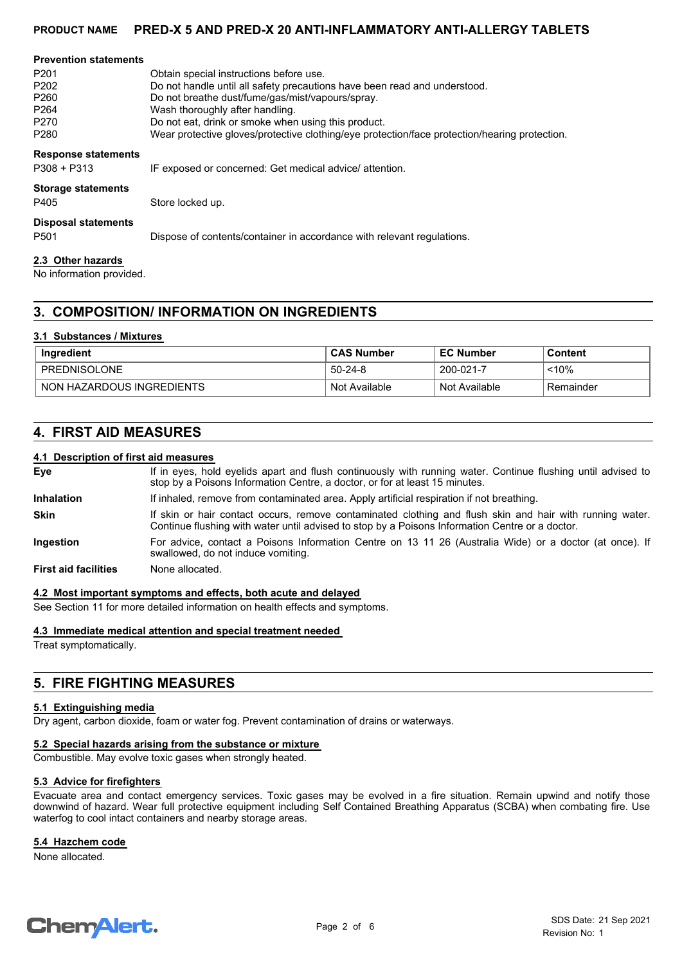## **PRODUCT NAME PRED-X 5 AND PRED-X 20 ANTI-INFLAMMATORY ANTI-ALLERGY TABLETS**

| <b>Prevention statements</b> |                                                                                               |
|------------------------------|-----------------------------------------------------------------------------------------------|
| P <sub>201</sub>             | Obtain special instructions before use.                                                       |
| P <sub>202</sub>             | Do not handle until all safety precautions have been read and understood.                     |
| P <sub>260</sub>             | Do not breathe dust/fume/gas/mist/vapours/spray.                                              |
| P <sub>264</sub>             | Wash thoroughly after handling.                                                               |
| P <sub>270</sub>             | Do not eat, drink or smoke when using this product.                                           |
| P <sub>280</sub>             | Wear protective gloves/protective clothing/eye protection/face protection/hearing protection. |
| <b>Response statements</b>   |                                                                                               |
| $P308 + P313$                | IF exposed or concerned: Get medical advice/ attention.                                       |
| <b>Storage statements</b>    |                                                                                               |
| P405                         | Store locked up.                                                                              |
| <b>Disposal statements</b>   |                                                                                               |
| P <sub>501</sub>             | Dispose of contents/container in accordance with relevant regulations.                        |
| 2.3 Other hazards            |                                                                                               |

No information provided.

## **3. COMPOSITION/ INFORMATION ON INGREDIENTS**

## **3.1 Substances / Mixtures**

| Ingredient                | <b>CAS Number</b> | <b>EC Number</b> | Content   |
|---------------------------|-------------------|------------------|-----------|
| PREDNISOLONE              | $50 - 24 - 8$     | 200-021-7        | $~10\%$   |
| NON HAZARDOUS INGREDIENTS | Not Available     | Not Available    | Remainder |

## **4. FIRST AID MEASURES**

## **4.1 Description of first aid measures**

| Eye                         | If in eyes, hold eyelids apart and flush continuously with running water. Continue flushing until advised to<br>stop by a Poisons Information Centre, a doctor, or for at least 15 minutes.                 |
|-----------------------------|-------------------------------------------------------------------------------------------------------------------------------------------------------------------------------------------------------------|
| <b>Inhalation</b>           | If inhaled, remove from contaminated area. Apply artificial respiration if not breathing.                                                                                                                   |
| <b>Skin</b>                 | If skin or hair contact occurs, remove contaminated clothing and flush skin and hair with running water.<br>Continue flushing with water until advised to stop by a Poisons Information Centre or a doctor. |
| Ingestion                   | For advice, contact a Poisons Information Centre on 13 11 26 (Australia Wide) or a doctor (at once). If<br>swallowed, do not induce vomiting.                                                               |
| <b>First aid facilities</b> | None allocated.                                                                                                                                                                                             |

#### **4.2 Most important symptoms and effects, both acute and delayed**

See Section 11 for more detailed information on health effects and symptoms.

#### **4.3 Immediate medical attention and special treatment needed**

Treat symptomatically.

## **5. FIRE FIGHTING MEASURES**

#### **5.1 Extinguishing media**

Dry agent, carbon dioxide, foam or water fog. Prevent contamination of drains or waterways.

### **5.2 Special hazards arising from the substance or mixture**

Combustible. May evolve toxic gases when strongly heated.

#### **5.3 Advice for firefighters**

Evacuate area and contact emergency services. Toxic gases may be evolved in a fire situation. Remain upwind and notify those downwind of hazard. Wear full protective equipment including Self Contained Breathing Apparatus (SCBA) when combating fire. Use waterfog to cool intact containers and nearby storage areas.

#### **5.4 Hazchem code**

None allocated.

# **ChemAlert.**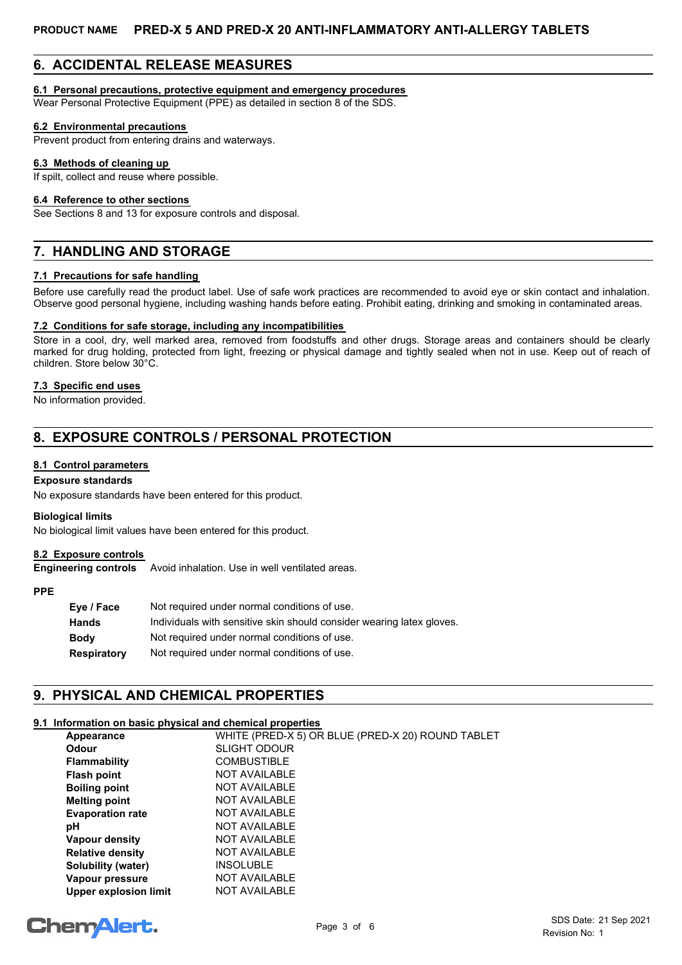# **6. ACCIDENTAL RELEASE MEASURES**

## **6.1 Personal precautions, protective equipment and emergency procedures**

Wear Personal Protective Equipment (PPE) as detailed in section 8 of the SDS.

## **6.2 Environmental precautions**

Prevent product from entering drains and waterways.

#### **6.3 Methods of cleaning up**

If spilt, collect and reuse where possible.

#### **6.4 Reference to other sections**

See Sections 8 and 13 for exposure controls and disposal.

# **7. HANDLING AND STORAGE**

## **7.1 Precautions for safe handling**

Before use carefully read the product label. Use of safe work practices are recommended to avoid eye or skin contact and inhalation. Observe good personal hygiene, including washing hands before eating. Prohibit eating, drinking and smoking in contaminated areas.

## **7.2 Conditions for safe storage, including any incompatibilities**

Store in a cool, dry, well marked area, removed from foodstuffs and other drugs. Storage areas and containers should be clearly marked for drug holding, protected from light, freezing or physical damage and tightly sealed when not in use. Keep out of reach of children. Store below 30°C.

## **7.3 Specific end uses**

No information provided.

# **8. EXPOSURE CONTROLS / PERSONAL PROTECTION**

## **8.1 Control parameters**

## **Exposure standards**

No exposure standards have been entered for this product.

#### **Biological limits**

No biological limit values have been entered for this product.

## **8.2 Exposure controls**

**Engineering controls** Avoid inhalation. Use in well ventilated areas.

#### **PPE**

| Eye / Face  | Not required under normal conditions of use.                          |
|-------------|-----------------------------------------------------------------------|
| Hands       | Individuals with sensitive skin should consider wearing latex gloves. |
| Body        | Not required under normal conditions of use.                          |
| Respiratory | Not required under normal conditions of use.                          |

# **9. PHYSICAL AND CHEMICAL PROPERTIES**

## **9.1 Information on basic physical and chemical properties**

| Appearance                   | WHITE (PRED-X 5) OR BLUE (PRED-X 20) ROUND TABLET |
|------------------------------|---------------------------------------------------|
| Odour                        | <b>SLIGHT ODOUR</b>                               |
| <b>Flammability</b>          | <b>COMBUSTIBLE</b>                                |
| <b>Flash point</b>           | <b>NOT AVAILABLE</b>                              |
| <b>Boiling point</b>         | NOT AVAILABLE                                     |
| <b>Melting point</b>         | NOT AVAILABLE                                     |
| <b>Evaporation rate</b>      | <b>NOT AVAILABLE</b>                              |
| рH                           | NOT AVAILABLE                                     |
| Vapour density               | NOT AVAILABLE                                     |
| <b>Relative density</b>      | NOT AVAILABLE                                     |
| Solubility (water)           | <b>INSOLUBLE</b>                                  |
| Vapour pressure              | NOT AVAILABLE                                     |
| <b>Upper explosion limit</b> | <b>NOT AVAILABLE</b>                              |

# **ChemAlert.**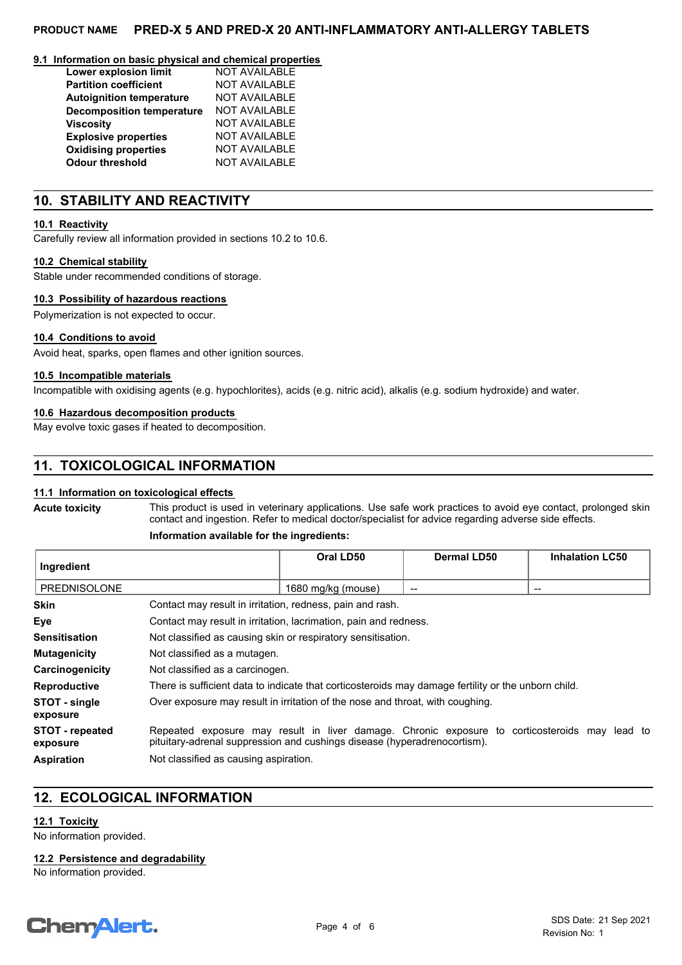## **PRODUCT NAME PRED-X 5 AND PRED-X 20 ANTI-INFLAMMATORY ANTI-ALLERGY TABLETS**

#### **9.1 Information on basic physical and chemical properties**

| Lower explosion limit            | <b>NOT AVAILABLE</b> |
|----------------------------------|----------------------|
| <b>Partition coefficient</b>     | <b>NOT AVAILABLE</b> |
| <b>Autoignition temperature</b>  | <b>NOT AVAILABLE</b> |
| <b>Decomposition temperature</b> | <b>NOT AVAILABLE</b> |
| <b>Viscosity</b>                 | <b>NOT AVAILABLE</b> |
| <b>Explosive properties</b>      | <b>NOT AVAILABLE</b> |
| <b>Oxidising properties</b>      | <b>NOT AVAILABLE</b> |
| <b>Odour threshold</b>           | <b>NOT AVAILABLE</b> |

## **10. STABILITY AND REACTIVITY**

## **10.1 Reactivity**

Carefully review all information provided in sections 10.2 to 10.6.

#### **10.2 Chemical stability**

Stable under recommended conditions of storage.

#### **10.3 Possibility of hazardous reactions**

Polymerization is not expected to occur.

#### **10.4 Conditions to avoid**

Avoid heat, sparks, open flames and other ignition sources.

#### **10.5 Incompatible materials**

Incompatible with oxidising agents (e.g. hypochlorites), acids (e.g. nitric acid), alkalis (e.g. sodium hydroxide) and water.

## **10.6 Hazardous decomposition products**

May evolve toxic gases if heated to decomposition.

# **11. TOXICOLOGICAL INFORMATION**

## **11.1 Information on toxicological effects**

**Acute toxicity**

This product is used in veterinary applications. Use safe work practices to avoid eye contact, prolonged skin contact and ingestion. Refer to medical doctor/specialist for advice regarding adverse side effects.

#### **Information available for the ingredients:**

| Ingredient                         |                                                                                                                                                                           | Oral LD50          | Dermal LD50 | <b>Inhalation LC50</b> |
|------------------------------------|---------------------------------------------------------------------------------------------------------------------------------------------------------------------------|--------------------|-------------|------------------------|
| PREDNISOLONE                       |                                                                                                                                                                           | 1680 mg/kg (mouse) | --          | $- -$                  |
| <b>Skin</b>                        | Contact may result in irritation, redness, pain and rash.                                                                                                                 |                    |             |                        |
| Eye                                | Contact may result in irritation, lacrimation, pain and redness.                                                                                                          |                    |             |                        |
| <b>Sensitisation</b>               | Not classified as causing skin or respiratory sensitisation.                                                                                                              |                    |             |                        |
| <b>Mutagenicity</b>                | Not classified as a mutagen.                                                                                                                                              |                    |             |                        |
| Carcinogenicity                    | Not classified as a carcinogen.                                                                                                                                           |                    |             |                        |
| <b>Reproductive</b>                | There is sufficient data to indicate that corticosteroids may damage fertility or the unborn child.                                                                       |                    |             |                        |
| STOT - single<br>exposure          | Over exposure may result in irritation of the nose and throat, with coughing.                                                                                             |                    |             |                        |
| <b>STOT</b> - repeated<br>exposure | Repeated exposure may result in liver damage. Chronic exposure to corticosteroids may lead to<br>pituitary-adrenal suppression and cushings disease (hyperadrenocortism). |                    |             |                        |
| <b>Aspiration</b>                  | Not classified as causing aspiration.                                                                                                                                     |                    |             |                        |

# **12. ECOLOGICAL INFORMATION**

## **12.1 Toxicity**

No information provided.

**12.2 Persistence and degradability**

No information provided.

# **ChemAlert.**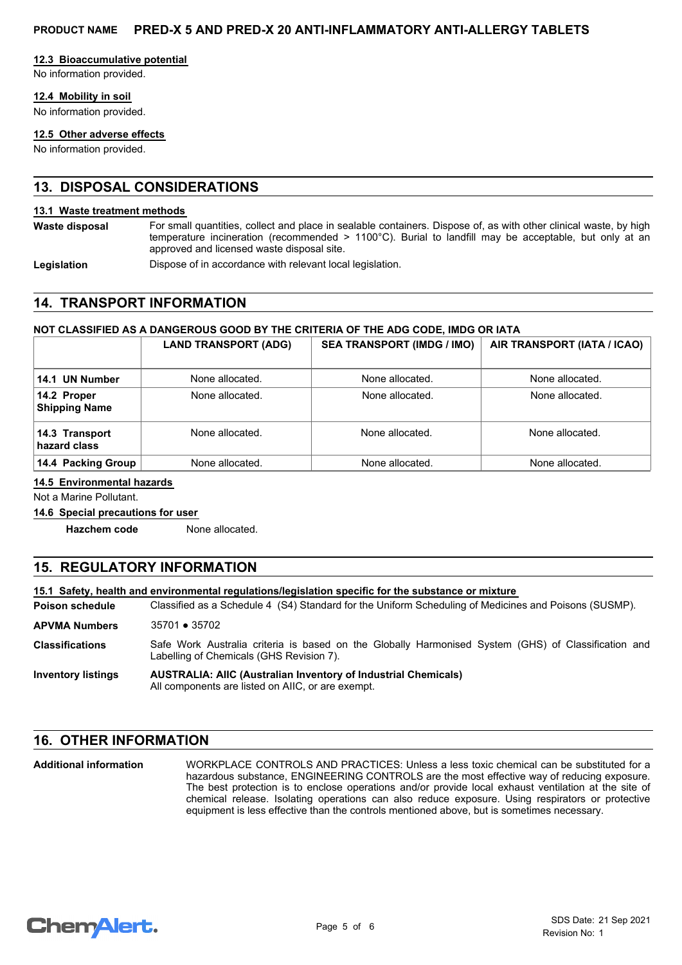## **12.3 Bioaccumulative potential**

No information provided.

## **12.4 Mobility in soil**

No information provided.

## **12.5 Other adverse effects**

No information provided.

# **13. DISPOSAL CONSIDERATIONS**

#### **13.1 Waste treatment methods**

For small quantities, collect and place in sealable containers. Dispose of, as with other clinical waste, by high temperature incineration (recommended > 1100°C). Burial to landfill may be acceptable, but only at an approved and licensed waste disposal site. **Waste disposal**

Legislation **Dispose of in accordance with relevant local legislation.** 

## **14. TRANSPORT INFORMATION**

## **NOT CLASSIFIED AS A DANGEROUS GOOD BY THE CRITERIA OF THE ADG CODE, IMDG OR IATA**

|                                     | <b>LAND TRANSPORT (ADG)</b> | <b>SEA TRANSPORT (IMDG / IMO)</b> | AIR TRANSPORT (IATA / ICAO) |
|-------------------------------------|-----------------------------|-----------------------------------|-----------------------------|
| 14.1 UN Number                      | None allocated.             | None allocated.                   | None allocated.             |
| 14.2 Proper<br><b>Shipping Name</b> | None allocated.             | None allocated.                   | None allocated.             |
| 14.3 Transport<br>hazard class      | None allocated.             | None allocated.                   | None allocated.             |
| 14.4 Packing Group                  | None allocated.             | None allocated.                   | None allocated.             |

## **14.5 Environmental hazards**

Not a Marine Pollutant.

## **14.6 Special precautions for user**

**Hazchem code** None allocated.

# **15. REGULATORY INFORMATION**

**15.1 Safety, health and environmental regulations/legislation specific for the substance or mixture**

Classified as a Schedule 4 (S4) Standard for the Uniform Scheduling of Medicines and Poisons (SUSMP). **Poison schedule**

**APVMA Numbers** 35701 ● 35702

Safe Work Australia criteria is based on the Globally Harmonised System (GHS) of Classification and Labelling of Chemicals (GHS Revision 7). **Classifications**

#### **AUSTRALIA: AIIC (Australian Inventory of Industrial Chemicals)** All components are listed on AIIC, or are exempt. **Inventory listings**

## **16. OTHER INFORMATION**

WORKPLACE CONTROLS AND PRACTICES: Unless a less toxic chemical can be substituted for a hazardous substance, ENGINEERING CONTROLS are the most effective way of reducing exposure. The best protection is to enclose operations and/or provide local exhaust ventilation at the site of chemical release. Isolating operations can also reduce exposure. Using respirators or protective equipment is less effective than the controls mentioned above, but is sometimes necessary. **Additional information**

```
ChemAlert.
```